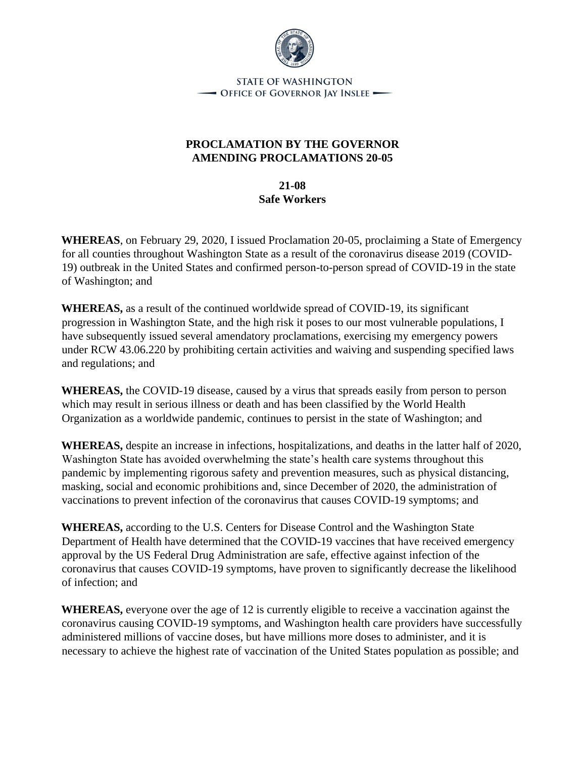

**STATE OF WASHINGTON** - Office of Governor Jay Inslee -

## **PROCLAMATION BY THE GOVERNOR AMENDING PROCLAMATIONS 20-05**

**21-08 Safe Workers**

**WHEREAS**, on February 29, 2020, I issued Proclamation 20-05, proclaiming a State of Emergency for all counties throughout Washington State as a result of the coronavirus disease 2019 (COVID-19) outbreak in the United States and confirmed person-to-person spread of COVID-19 in the state of Washington; and

**WHEREAS,** as a result of the continued worldwide spread of COVID-19, its significant progression in Washington State, and the high risk it poses to our most vulnerable populations, I have subsequently issued several amendatory proclamations, exercising my emergency powers under RCW 43.06.220 by prohibiting certain activities and waiving and suspending specified laws and regulations; and

**WHEREAS,** the COVID-19 disease, caused by a virus that spreads easily from person to person which may result in serious illness or death and has been classified by the World Health Organization as a worldwide pandemic, continues to persist in the state of Washington; and

**WHEREAS,** despite an increase in infections, hospitalizations, and deaths in the latter half of 2020, Washington State has avoided overwhelming the state's health care systems throughout this pandemic by implementing rigorous safety and prevention measures, such as physical distancing, masking, social and economic prohibitions and, since December of 2020, the administration of vaccinations to prevent infection of the coronavirus that causes COVID-19 symptoms; and

**WHEREAS,** according to the U.S. Centers for Disease Control and the Washington State Department of Health have determined that the COVID-19 vaccines that have received emergency approval by the US Federal Drug Administration are safe, effective against infection of the coronavirus that causes COVID-19 symptoms, have proven to significantly decrease the likelihood of infection; and

**WHEREAS,** everyone over the age of 12 is currently eligible to receive a vaccination against the coronavirus causing COVID-19 symptoms, and Washington health care providers have successfully administered millions of vaccine doses, but have millions more doses to administer, and it is necessary to achieve the highest rate of vaccination of the United States population as possible; and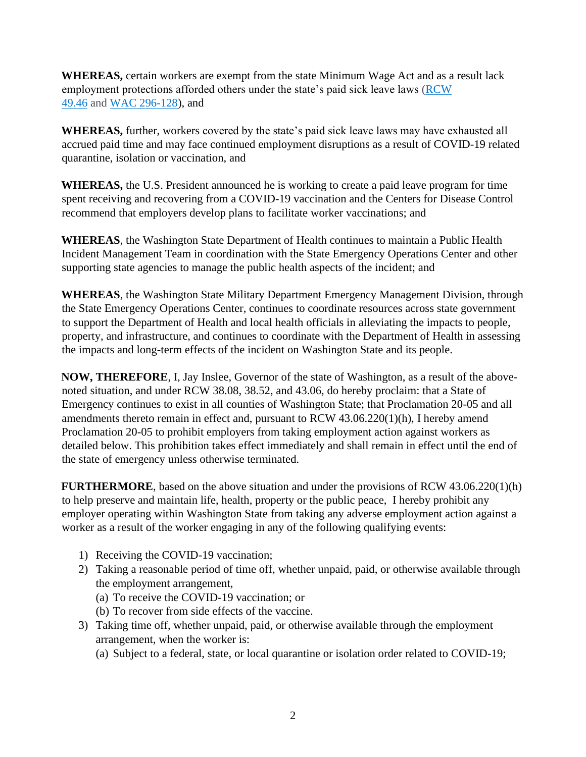**WHEREAS,** certain workers are exempt from the state Minimum Wage Act and as a result lack employment protections afforded others under the state's paid sick leave laws (RCW) [49.46](https://app.leg.wa.gov/rcw/default.aspx?cite=49.46) and [WAC 296-128\)](https://app.leg.wa.gov/wac/default.aspx?cite=296-128), and

**WHEREAS,** further, workers covered by the state's paid sick leave laws may have exhausted all accrued paid time and may face continued employment disruptions as a result of COVID-19 related quarantine, isolation or vaccination, and

**WHEREAS,** the U.S. President announced he is working to create a paid leave program for time spent receiving and recovering from a COVID-19 vaccination and the Centers for Disease Control recommend that employers develop plans to facilitate worker vaccinations; and

**WHEREAS**, the Washington State Department of Health continues to maintain a Public Health Incident Management Team in coordination with the State Emergency Operations Center and other supporting state agencies to manage the public health aspects of the incident; and

**WHEREAS**, the Washington State Military Department Emergency Management Division, through the State Emergency Operations Center, continues to coordinate resources across state government to support the Department of Health and local health officials in alleviating the impacts to people, property, and infrastructure, and continues to coordinate with the Department of Health in assessing the impacts and long-term effects of the incident on Washington State and its people.

**NOW, THEREFORE**, I, Jay Inslee, Governor of the state of Washington, as a result of the abovenoted situation, and under RCW 38.08, 38.52, and 43.06, do hereby proclaim: that a State of Emergency continues to exist in all counties of Washington State; that Proclamation 20-05 and all amendments thereto remain in effect and, pursuant to RCW 43.06.220(1)(h), I hereby amend Proclamation 20-05 to prohibit employers from taking employment action against workers as detailed below. This prohibition takes effect immediately and shall remain in effect until the end of the state of emergency unless otherwise terminated.

**FURTHERMORE**, based on the above situation and under the provisions of RCW 43.06.220(1)(h) to help preserve and maintain life, health, property or the public peace, I hereby prohibit any employer operating within Washington State from taking any adverse employment action against a worker as a result of the worker engaging in any of the following qualifying events:

- 1) Receiving the COVID-19 vaccination;
- 2) Taking a reasonable period of time off, whether unpaid, paid, or otherwise available through the employment arrangement,
	- (a) To receive the COVID-19 vaccination; or
	- (b) To recover from side effects of the vaccine.
- 3) Taking time off, whether unpaid, paid, or otherwise available through the employment arrangement, when the worker is:
	- (a) Subject to a federal, state, or local quarantine or isolation order related to COVID-19;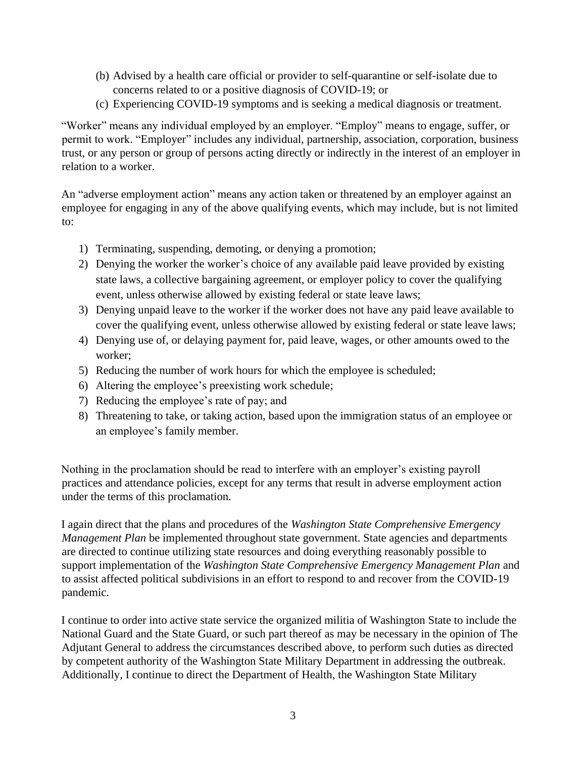- (b) Advised by a health care official or provider to self-quarantine or self-isolate due to concerns related to or a positive diagnosis of COVID-19; or
- (c) Experiencing COVID-19 symptoms and is seeking a medical diagnosis or treatment.

"Worker" means any individual employed by an employer. "Employ" means to engage, suffer, or permit to work. "Employer" includes any individual, partnership, association, corporation, business trust, or any person or group of persons acting directly or indirectly in the interest of an employer in relation to a worker.

An "adverse employment action" means any action taken or threatened by an employer against an employee for engaging in any of the above qualifying events, which may include, but is not limited to:

- 1) Terminating, suspending, demoting, or denying a promotion;
- 2) Denying the worker the worker's choice of any available paid leave provided by existing state laws, a collective bargaining agreement, or employer policy to cover the qualifying event, unless otherwise allowed by existing federal or state leave laws;
- 3) Denying unpaid leave to the worker if the worker does not have any paid leave available to cover the qualifying event, unless otherwise allowed by existing federal or state leave laws;
- 4) Denying use of, or delaying payment for, paid leave, wages, or other amounts owed to the worker;
- 5) Reducing the number of work hours for which the employee is scheduled;
- 6) Altering the employee's preexisting work schedule;
- 7) Reducing the employee's rate of pay; and
- 8) Threatening to take, or taking action, based upon the immigration status of an employee or an employee's family member.

Nothing in the proclamation should be read to interfere with an employer's existing payroll practices and attendance policies, except for any terms that result in adverse employment action under the terms of this proclamation.

I again direct that the plans and procedures of the *Washington State Comprehensive Emergency Management Plan* be implemented throughout state government. State agencies and departments are directed to continue utilizing state resources and doing everything reasonably possible to support implementation of the *Washington State Comprehensive Emergency Management Plan* and to assist affected political subdivisions in an effort to respond to and recover from the COVID-19 pandemic.

I continue to order into active state service the organized militia of Washington State to include the National Guard and the State Guard, or such part thereof as may be necessary in the opinion of The Adjutant General to address the circumstances described above, to perform such duties as directed by competent authority of the Washington State Military Department in addressing the outbreak. Additionally, I continue to direct the Department of Health, the Washington State Military